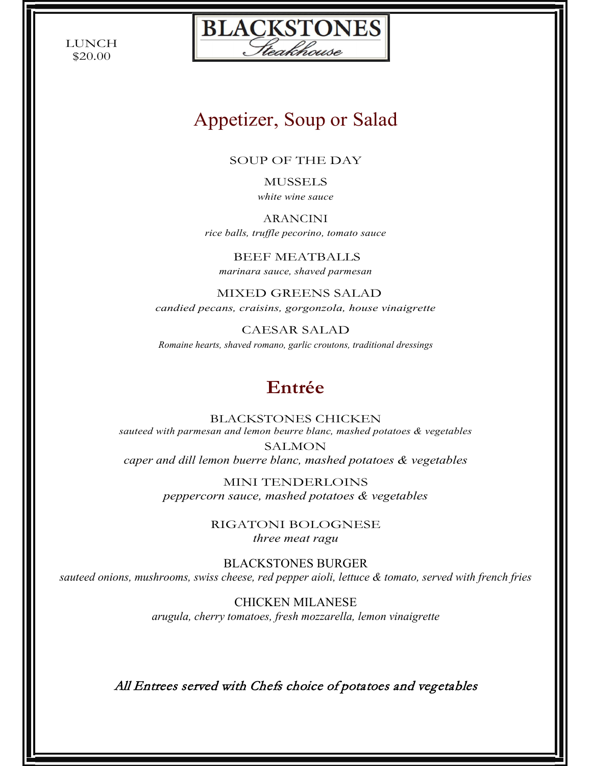LUNCH \$20.00



# Appetizer, Soup or Salad

SOUP OF THE DAY

MUSSELS *white wine sauce*

ARANCINI *rice balls, truffle pecorino, tomato sauce*

BEEF MEATBALLS *marinara sauce, shaved parmesan*

MIXED GREENS SALAD *candied pecans, craisins, gorgonzola, house vinaigrette*

CAESAR SALAD *Romaine hearts, shaved romano, garlic croutons, traditional dressings*

# **Entrée**

BLACKSTONES CHICKEN *sauteed with parmesan and lemon beurre blanc, mashed potatoes & vegetables* SALMON *caper and dill lemon buerre blanc, mashed potatoes & vegetables*

> MINI TENDERLOINS *peppercorn sauce, mashed potatoes & vegetables*

> > RIGATONI BOLOGNESE *three meat ragu*

BLACKSTONES BURGER *sauteed onions, mushrooms, swiss cheese, red pepper aioli, lettuce & tomato, served with french fries*

> CHICKEN MILANESE *arugula, cherry tomatoes, fresh mozzarella, lemon vinaigrette*

All Entrees served with Chefs choice of potatoes and vegetables